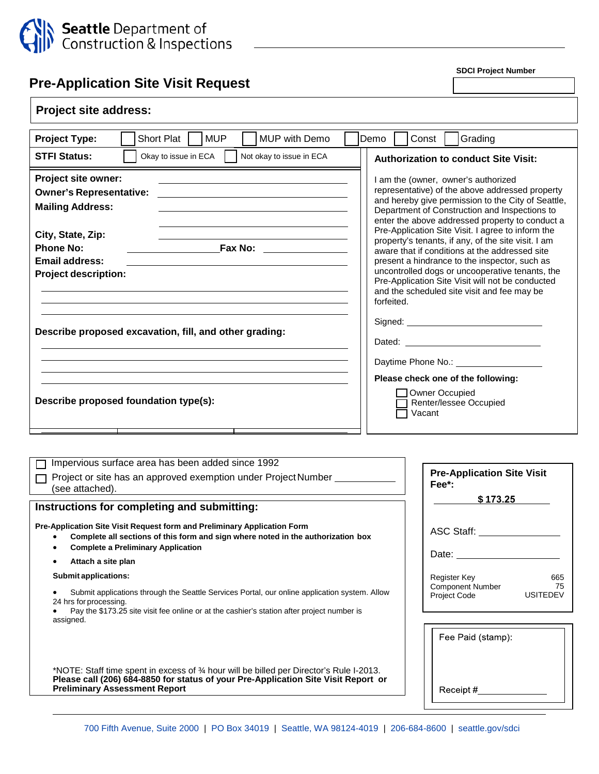

**SDCI Project Number**

| Pre-Application Site Visit Request                                                                                                                                                                               |                                                                                                                                                                                                                                                                                                                            |  |
|------------------------------------------------------------------------------------------------------------------------------------------------------------------------------------------------------------------|----------------------------------------------------------------------------------------------------------------------------------------------------------------------------------------------------------------------------------------------------------------------------------------------------------------------------|--|
| <b>Project site address:</b>                                                                                                                                                                                     |                                                                                                                                                                                                                                                                                                                            |  |
| <b>MUP</b><br>Short Plat<br><b>MUP with Demo</b><br><b>Project Type:</b>                                                                                                                                         | Demo<br>Const<br>Grading                                                                                                                                                                                                                                                                                                   |  |
| <b>STFI Status:</b><br>Okay to issue in ECA<br>Not okay to issue in ECA                                                                                                                                          | <b>Authorization to conduct Site Visit:</b>                                                                                                                                                                                                                                                                                |  |
| <b>Project site owner:</b><br><b>Owner's Representative:</b><br><u> 1989 - Johann Harry Harry Harry Harry Harry Harry Harry Harry Harry Harry Harry Harry Harry Harry Harry Harry</u><br><b>Mailing Address:</b> | I am the (owner, owner's authorized<br>representative) of the above addressed property<br>and hereby give permission to the City of Seattle,<br>Department of Construction and Inspections to<br>enter the above addressed property to conduct a<br>Pre-Application Site Visit. I agree to inform the                      |  |
| City, State, Zip:<br><b>Phone No:</b><br><b>Fax No:</b> _______________<br><b>Email address:</b><br><b>Project description:</b>                                                                                  | property's tenants, if any, of the site visit. I am<br>aware that if conditions at the addressed site<br>present a hindrance to the inspector, such as<br>uncontrolled dogs or uncooperative tenants, the<br>Pre-Application Site Visit will not be conducted<br>and the scheduled site visit and fee may be<br>forfeited. |  |
| Describe proposed excavation, fill, and other grading:                                                                                                                                                           | Dated: the contract of the contract of the contract of the contract of the contract of the contract of the contract of the contract of the contract of the contract of the contract of the contract of the contract of the con<br>Daytime Phone No.: <u>___________________</u>                                            |  |
| Describe proposed foundation type(s):                                                                                                                                                                            | Please check one of the following:<br>Owner Occupied<br>Renter/lessee Occupied<br>Vacant                                                                                                                                                                                                                                   |  |
|                                                                                                                                                                                                                  |                                                                                                                                                                                                                                                                                                                            |  |
| Impervious surface area has been added since 1992<br>Project or site has an approved exemption under Project Number<br>⊓<br>(see attached).                                                                      | <b>Pre-Application Site Visit</b><br>Fee*:<br>\$173.25                                                                                                                                                                                                                                                                     |  |
| Instructions for completing and submitting:                                                                                                                                                                      |                                                                                                                                                                                                                                                                                                                            |  |

**Pre-Application Site Visit Request form and Preliminary Application Form**

- **Complete all sections of this form and sign where noted in the authorization box**
- **Complete a Preliminary Application**
- **Attach a site plan**

**Submit applications:**

• Submit applications through the Seattle Services Portal, our online application system. Allow 24 hrs for processing.

• Pay the \$173.25 site visit fee online or at the cashier's station after project number is assigned.

\*NOTE: Staff time spent in excess of ¾ hour will be billed per Director's Rule I-2013. **Please call (206) 684-8850 for status of your Pre-Application Site Visit Report or Preliminary Assessment Report**

| <b>Pre-Application Site Visit</b><br>Fee*:                     |                       |  |
|----------------------------------------------------------------|-----------------------|--|
| \$173.25                                                       |                       |  |
| <b>ASC Staff:</b>                                              |                       |  |
| Date:                                                          |                       |  |
| Register Key<br><b>Component Number</b><br><b>Project Code</b> | 665<br>75<br>USITEDEV |  |
| Fee Paid (stamp):                                              |                       |  |
|                                                                |                       |  |